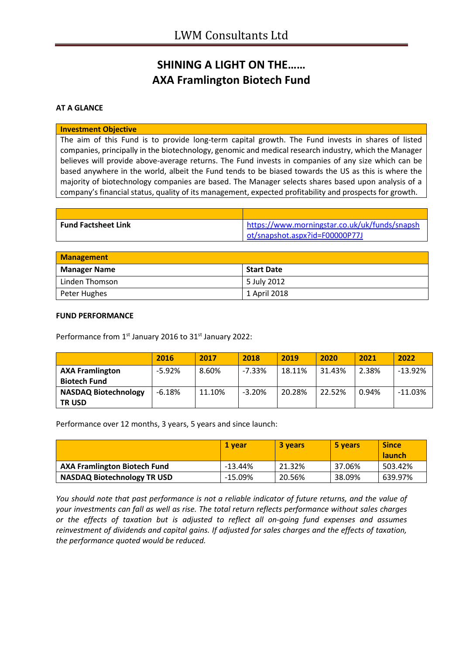## **SHINING A LIGHT ON THE…… AXA Framlington Biotech Fund**

#### **AT A GLANCE**

#### **Investment Objective**

The aim of this Fund is to provide long-term capital growth. The Fund invests in shares of listed companies, principally in the biotechnology, genomic and medical research industry, which the Manager believes will provide above-average returns. The Fund invests in companies of any size which can be based anywhere in the world, albeit the Fund tends to be biased towards the US as this is where the majority of biotechnology companies are based. The Manager selects shares based upon analysis of a company's financial status, quality of its management, expected profitability and prospects for growth.

| <b>Fund Factsheet Link</b> | https://www.morningstar.co.uk/uk/funds/snapsh |
|----------------------------|-----------------------------------------------|
|                            | ot/snapshot.aspx?id=F00000P77J                |

| <b>Management</b>   |              |  |
|---------------------|--------------|--|
| <b>Manager Name</b> | Start Date   |  |
| Linden Thomson      | 5 July 2012  |  |
| Peter Hughes        | 1 April 2018 |  |

#### **FUND PERFORMANCE**

Performance from 1<sup>st</sup> January 2016 to 31<sup>st</sup> January 2022:

|                             | 2016     | 2017   | 2018     | 2019   | 2020   | 2021  | 2022      |
|-----------------------------|----------|--------|----------|--------|--------|-------|-----------|
| <b>AXA Framlington</b>      | $-5.92%$ | 8.60%  | $-7.33%$ | 18.11% | 31.43% | 2.38% | $-13.92%$ |
| <b>Biotech Fund</b>         |          |        |          |        |        |       |           |
| <b>NASDAQ Biotechnology</b> | $-6.18%$ | 11.10% | $-3.20%$ | 20.28% | 22.52% | 0.94% | $-11.03%$ |
| <b>TRUSD</b>                |          |        |          |        |        |       |           |

Performance over 12 months, 3 years, 5 years and since launch:

|                                     | 1 vear  | 3 years | 5 years | <b>Since</b><br><b>Naunch</b> |
|-------------------------------------|---------|---------|---------|-------------------------------|
| <b>AXA Framlington Biotech Fund</b> | -13.44% | 21.32%  | 37.06%  | 503.42%                       |
| <b>NASDAQ Biotechnology TR USD</b>  | -15.09% | 20.56%  | 38.09%  | 639.97%                       |

*You should note that past performance is not a reliable indicator of future returns, and the value of your investments can fall as well as rise. The total return reflects performance without sales charges or the effects of taxation but is adjusted to reflect all on-going fund expenses and assumes reinvestment of dividends and capital gains. If adjusted for sales charges and the effects of taxation, the performance quoted would be reduced.*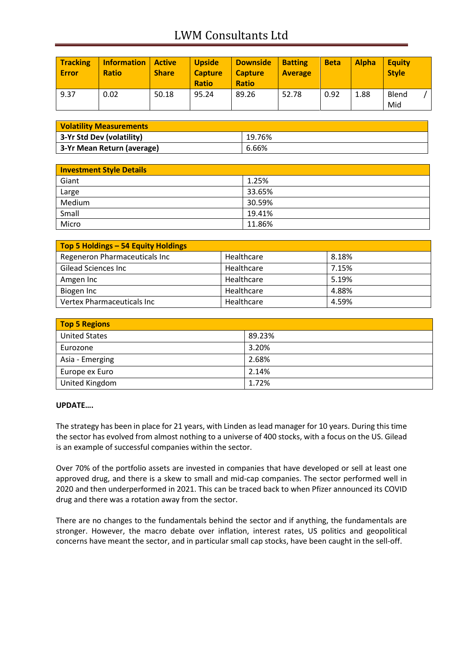# LWM Consultants Ltd

| <b>Tracking</b><br><b>Error</b> | <b>Information</b><br><b>Ratio</b> | Active<br><b>Share</b> | <b>Upside</b><br><b>Capture</b><br><b>Ratio</b> | <b>Downside</b><br><b>Capture</b><br><b>Ratio</b> | <b>Batting</b><br><b>Average</b> | <b>Beta</b> | <b>Alpha</b> | <b>Equity</b><br><b>Style</b> |
|---------------------------------|------------------------------------|------------------------|-------------------------------------------------|---------------------------------------------------|----------------------------------|-------------|--------------|-------------------------------|
| 9.37                            | 0.02                               | 50.18                  | 95.24                                           | 89.26                                             | 52.78                            | 0.92        | 1.88         | Blend<br>Mid                  |

| <b>Volatility Measurements</b> |        |  |
|--------------------------------|--------|--|
| 3-Yr Std Dev (volatility)      | 19.76% |  |
| 3-Yr Mean Return (average)     | 6.66%  |  |

| <b>Investment Style Details</b> |        |
|---------------------------------|--------|
| Giant                           | 1.25%  |
| Large                           | 33.65% |
| Medium                          | 30.59% |
| Small                           | 19.41% |
| Micro                           | 11.86% |

| Top 5 Holdings - 54 Equity Holdings |            |       |
|-------------------------------------|------------|-------|
| Regeneron Pharmaceuticals Inc       | Healthcare | 8.18% |
| <b>Gilead Sciences Inc</b>          | Healthcare | 7.15% |
| Amgen Inc                           | Healthcare | 5.19% |
| Biogen Inc                          | Healthcare | 4.88% |
| Vertex Pharmaceuticals Inc          | Healthcare | 4.59% |

| <b>Top 5 Regions</b> |        |  |
|----------------------|--------|--|
| <b>United States</b> | 89.23% |  |
| Eurozone             | 3.20%  |  |
| Asia - Emerging      | 2.68%  |  |
| Europe ex Euro       | 2.14%  |  |
| United Kingdom       | 1.72%  |  |

### **UPDATE….**

The strategy has been in place for 21 years, with Linden as lead manager for 10 years. During this time the sector has evolved from almost nothing to a universe of 400 stocks, with a focus on the US. Gilead is an example of successful companies within the sector.

Over 70% of the portfolio assets are invested in companies that have developed or sell at least one approved drug, and there is a skew to small and mid-cap companies. The sector performed well in 2020 and then underperformed in 2021. This can be traced back to when Pfizer announced its COVID drug and there was a rotation away from the sector.

There are no changes to the fundamentals behind the sector and if anything, the fundamentals are stronger. However, the macro debate over inflation, interest rates, US politics and geopolitical concerns have meant the sector, and in particular small cap stocks, have been caught in the sell-off.